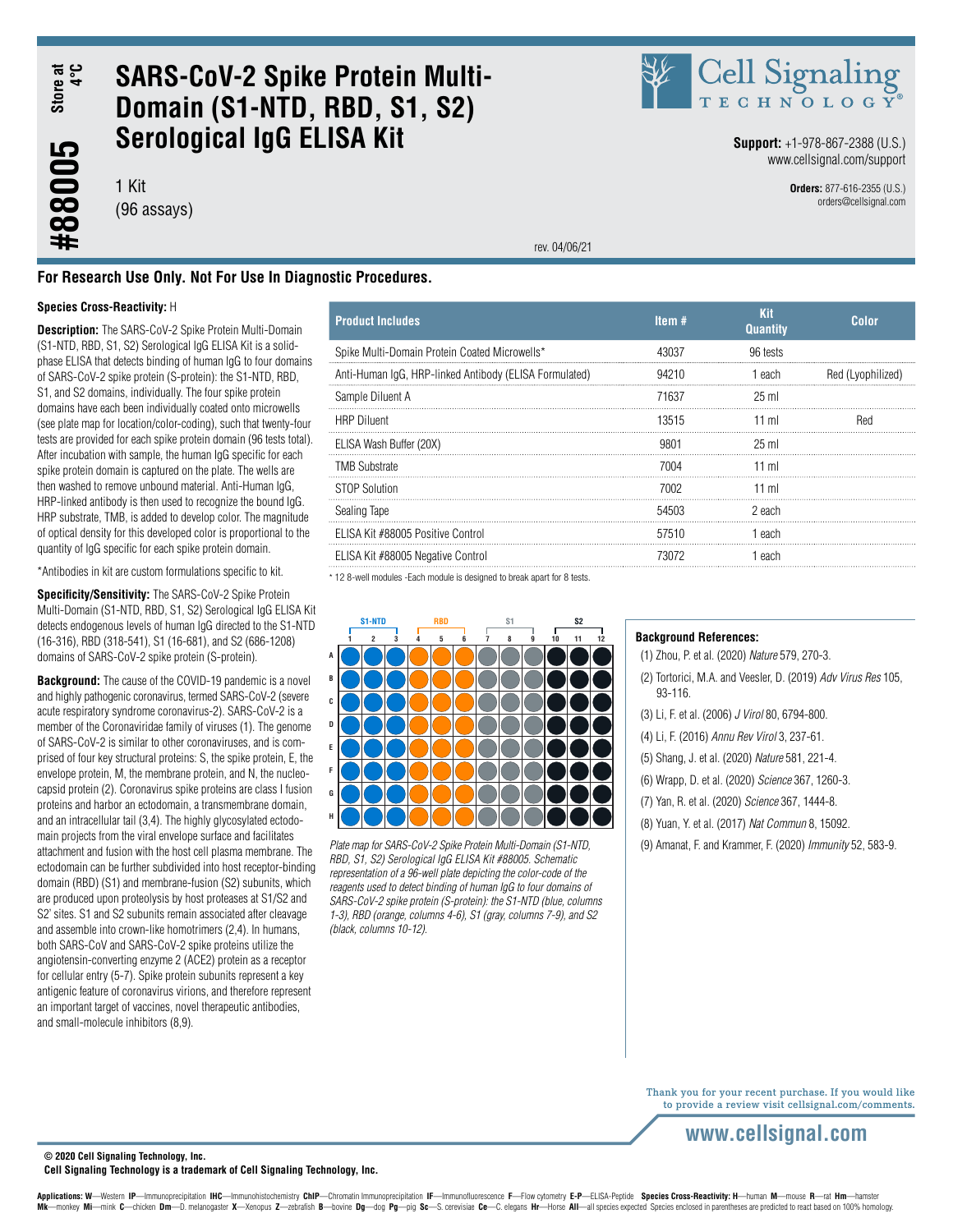Store at<br>4°C **#88005 Store at 4°C**

#88005

## **SARS-CoV-2 Spike Protein Multi-Domain (S1-NTD, RBD, S1, S2) Serological IgG ELISA Kit**

1 Kit (96 assays)



**Support:** +1-978-867-2388 (U.S.) www.cellsignal.com/support

> **Orders:** 877-616-2355 (U.S.) orders@cellsignal.com

rev. 04/06/21

### **For Research Use Only. Not For Use In Diagnostic Procedures.**

#### **Species Cross-Reactivity:** H

**Description:** The SARS-CoV-2 Spike Protein Multi-Domain (S1-NTD, RBD, S1, S2) Serological IgG ELISA Kit is a solidphase ELISA that detects binding of human IgG to four domains of SARS-CoV-2 spike protein (S-protein): the S1-NTD, RBD, S1, and S2 domains, individually. The four spike protein domains have each been individually coated onto microwells (see plate map for location/color-coding), such that twenty-four tests are provided for each spike protein domain (96 tests total). After incubation with sample, the human IgG specific for each spike protein domain is captured on the plate. The wells are then washed to remove unbound material. Anti-Human IgG, HRP-linked antibody is then used to recognize the bound IgG. HRP substrate, TMB, is added to develop color. The magnitude of optical density for this developed color is proportional to the quantity of IgG specific for each spike protein domain.

\*Antibodies in kit are custom formulations specific to kit.

**Specificity/Sensitivity:** The SARS-CoV-2 Spike Protein Multi-Domain (S1-NTD, RBD, S1, S2) Serological IgG ELISA Kit detects endogenous levels of human IgG directed to the S1-NTD (16-316), RBD (318-541), S1 (16-681), and S2 (686-1208) domains of SARS-CoV-2 spike protein (S-protein).

**Background:** The cause of the COVID-19 pandemic is a novel and highly pathogenic coronavirus, termed SARS-CoV-2 (severe acute respiratory syndrome coronavirus-2). SARS-CoV-2 is a member of the Coronaviridae family of viruses (1). The genome of SARS-CoV-2 is similar to other coronaviruses, and is comprised of four key structural proteins: S, the spike protein, E, the envelope protein, M, the membrane protein, and N, the nucleocapsid protein (2). Coronavirus spike proteins are class I fusion proteins and harbor an ectodomain, a transmembrane domain, and an intracellular tail (3,4). The highly glycosylated ectodomain projects from the viral envelope surface and facilitates attachment and fusion with the host cell plasma membrane. The ectodomain can be further subdivided into host receptor-binding domain (RBD) (S1) and membrane-fusion (S2) subunits, which are produced upon proteolysis by host proteases at S1/S2 and S2' sites. S1 and S2 subunits remain associated after cleavage and assemble into crown-like homotrimers (2,4). In humans, both SARS-CoV and SARS-CoV-2 spike proteins utilize the angiotensin-converting enzyme 2 (ACE2) protein as a receptor for cellular entry (5-7). Spike protein subunits represent a key antigenic feature of coronavirus virions, and therefore represent an important target of vaccines, novel therapeutic antibodies, and small-molecule inhibitors (8,9).

| <b>Product Includes</b>                                | Item $#$ | <b>Kit</b><br><b>Quantity</b> | Color             |
|--------------------------------------------------------|----------|-------------------------------|-------------------|
| Spike Multi-Domain Protein Coated Microwells*          | 43037    | 96 tests                      |                   |
| Anti-Human IgG, HRP-linked Antibody (ELISA Formulated) | 94210    | 1 each                        | Red (Lyophilized) |
| Sample Diluent A                                       | 71637    | 25 ml                         |                   |
| <b>HRP</b> Diluent                                     | 13515    | $11$ ml                       | Red               |
| ELISA Wash Buffer (20X)                                | 9801     | $25 \text{ ml}$               |                   |
| <b>TMB Substrate</b>                                   | 7004     | $11$ ml                       |                   |
| <b>STOP Solution</b>                                   | 7002     | $11$ ml                       |                   |
| Sealing Tape                                           | 54503    | -2 each                       |                   |
| ELISA Kit #88005 Positive Control                      | 57510    | 1 each                        |                   |
| ELISA Kit #88005 Negative Control                      | 73072    | 1 each                        |                   |

\* 12 8-well modules -Each module is designed to break apart for 8 tests.



*Plate map for SARS-CoV-2 Spike Protein Multi-Domain (S1-NTD,* (9) Amanat, F. and Krammer, F. (2020) *Immunity* 52, 583-9. *RBD, S1, S2) Serological IgG ELISA Kit #88005. Schematic representation of a 96-well plate depicting the color-code of the reagents used to detect binding of human IgG to four domains of SARS-CoV-2 spike protein (S-protein): the S1-NTD (blue, columns 1-3), RBD (orange, columns 4-6), S1 (gray, columns 7-9), and S2 (black, columns 10-12).*

#### **Background References:**

(1) Zhou, P. et al. (2020) *Nature* 579, 270-3.

(2) Tortorici, M.A. and Veesler, D. (2019) *Adv Virus Res* 105, 93-116.

- (3) Li, F. et al. (2006) *J Virol* 80, 6794-800.
- (4) Li, F. (2016) *Annu Rev Virol* 3, 237-61.
- (5) Shang, J. et al. (2020) *Nature* 581, 221-4.
- (6) Wrapp, D. et al. (2020) *Science* 367, 1260-3.
- (7) Yan, R. et al. (2020) *Science* 367, 1444-8.
- (8) Yuan, Y. et al. (2017) *Nat Commun* 8, 15092.
- 

Thank you for your recent purchase. If you would like to provide a review visit cellsignal.com/comments.

**© 2020 Cell Signaling Technology, Inc.**

**Cell Signaling Technology is a trademark of Cell Signaling Technology, Inc.**

Applications: W-Western IP-Immunoprecipitation IHC-Immunohistochemistry ChIP-Chromatin Immunoprecipitation IF-Immunofluorescence F-Flow cytometry E-P-ELISA-Peptide Species Cross-Reactivity: H-human M-mouse R-rat Hm-hamster Mk-monkey Mi-mink C-chicken Dm-D. melanogaster X-Xenopus Z-zebrafish B-bovine Dg-dog Pg-pig Sc-S. cerevisiae Ce-C. elegans Hr-Horse All-all species expected Species enclosed in parentheses are predicted to react based on 1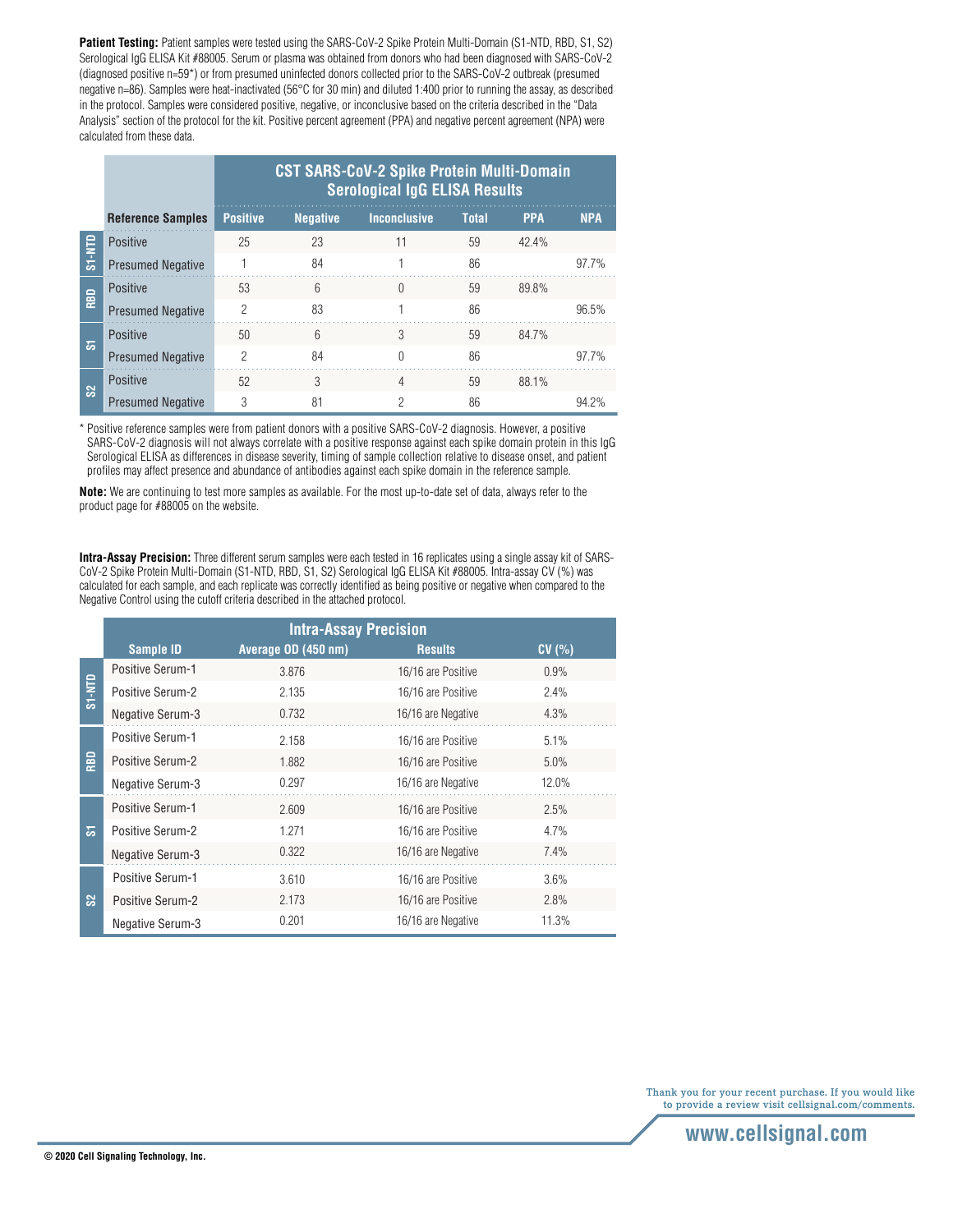Patient Testing: Patient samples were tested using the SARS-CoV-2 Spike Protein Multi-Domain (S1-NTD, RBD, S1, S2) Serological IgG ELISA Kit #88005. Serum or plasma was obtained from donors who had been diagnosed with SARS-CoV-2 (diagnosed positive n=59\*) or from presumed uninfected donors collected prior to the SARS-CoV-2 outbreak (presumed negative n=86). Samples were heat-inactivated (56°C for 30 min) and diluted 1:400 prior to running the assay, as described in the protocol. Samples were considered positive, negative, or inconclusive based on the criteria described in the "Data Analysis" section of the protocol for the kit. Positive percent agreement (PPA) and negative percent agreement (NPA) were calculated from these data.

|                                                                                                                                                                       |                                                                                                                                                                                                                                                                                                                                                                                                                                                                                     | <b>CST SARS-CoV-2 Spike Protein Multi-Domain</b><br><b>Serological IgG ELISA Results</b> |                 |                     |              |            |            |
|-----------------------------------------------------------------------------------------------------------------------------------------------------------------------|-------------------------------------------------------------------------------------------------------------------------------------------------------------------------------------------------------------------------------------------------------------------------------------------------------------------------------------------------------------------------------------------------------------------------------------------------------------------------------------|------------------------------------------------------------------------------------------|-----------------|---------------------|--------------|------------|------------|
|                                                                                                                                                                       | <b>Reference Samples</b>                                                                                                                                                                                                                                                                                                                                                                                                                                                            | <b>Positive</b>                                                                          | <b>Negative</b> | <b>Inconclusive</b> | <b>Total</b> | <b>PPA</b> | <b>NPA</b> |
|                                                                                                                                                                       | Positive                                                                                                                                                                                                                                                                                                                                                                                                                                                                            | 25                                                                                       | 23              | 11                  | 59           | 42.4%      |            |
| S1-NTD                                                                                                                                                                | <b>Presumed Negative</b>                                                                                                                                                                                                                                                                                                                                                                                                                                                            |                                                                                          | 84              |                     | 86           |            | $97.7\%$   |
|                                                                                                                                                                       | Positive                                                                                                                                                                                                                                                                                                                                                                                                                                                                            | 53                                                                                       | 6               | $\Omega$            | 59           | 89.8%      |            |
| RBD                                                                                                                                                                   | <b>Presumed Negative</b>                                                                                                                                                                                                                                                                                                                                                                                                                                                            | $\overline{2}$                                                                           | 83              |                     | 86           |            | 96.5%      |
| ವ                                                                                                                                                                     | <b>Positive</b>                                                                                                                                                                                                                                                                                                                                                                                                                                                                     | 50                                                                                       | 6               | 3                   | 59           | 84.7%      |            |
|                                                                                                                                                                       | <b>Presumed Negative</b>                                                                                                                                                                                                                                                                                                                                                                                                                                                            | $\overline{2}$                                                                           | 84              | $\Omega$            | 86           |            | $97.7\%$   |
| $\mathbf{S}^2$                                                                                                                                                        | <b>Positive</b>                                                                                                                                                                                                                                                                                                                                                                                                                                                                     | 52                                                                                       | 3               | 4                   | 59           | 88.1%      |            |
|                                                                                                                                                                       | <b>Presumed Negative</b>                                                                                                                                                                                                                                                                                                                                                                                                                                                            | 3                                                                                        | 81              | 2                   | 86           |            | 94.2%      |
|                                                                                                                                                                       | * Positive reference samples were from patient donors with a positive SARS-CoV-2 diagnosis. However, a positive<br>SARS-CoV-2 diagnosis will not always correlate with a positive response against each spike domain protein in this lgG<br>Serological ELISA as differences in disease severity, timing of sample collection relative to disease onset, and patient<br>profiles may affect presence and abundance of antibodies against each spike domain in the reference sample. |                                                                                          |                 |                     |              |            |            |
| <b>Note:</b> We are continuing to test more samples as available. For the most up-to-date set of data, always refer to the<br>product page for #88005 on the website. |                                                                                                                                                                                                                                                                                                                                                                                                                                                                                     |                                                                                          |                 |                     |              |            |            |

**Intra-Assay Precision:** Three different serum samples were each tested in 16 replicates using a single assay kit of SARS-CoV-2 Spike Protein Multi-Domain (S1-NTD, RBD, S1, S2) Serological IgG ELISA Kit #88005. Intra-assay CV (%) was calculated for each sample, and each replicate was correctly identified as being positive or negative when compared to the Negative Control using the cutoff criteria described in the attached protocol.

|               | <b>Intra-Assay Precision</b> |                     |                    |        |
|---------------|------------------------------|---------------------|--------------------|--------|
|               | <b>Sample ID</b>             | Average OD (450 nm) | <b>Results</b>     | CV(% ) |
| <b>GLN-LS</b> | <b>Positive Serum-1</b>      | 3.876               | 16/16 are Positive | 0.9%   |
|               | Positive Serum-2             | 2.135               | 16/16 are Positive | 2.4%   |
|               | <b>Negative Serum-3</b>      | 0.732               | 16/16 are Negative | 4.3%   |
| RBD           | <b>Positive Serum-1</b>      | 2.158               | 16/16 are Positive | 5.1%   |
|               | <b>Positive Serum-2</b>      | 1.882               | 16/16 are Positive | 5.0%   |
|               | Negative Serum-3             | 0.297               | 16/16 are Negative | 12.0%  |
|               | <b>Positive Serum-1</b>      | 2.609               | 16/16 are Positive | 2.5%   |
| ळ             | Positive Serum-2             | 1.271               | 16/16 are Positive | 4.7%   |
|               | <b>Negative Serum-3</b>      | 0.322               | 16/16 are Negative | 7.4%   |
| ಜ             | <b>Positive Serum-1</b>      | 3.610               | 16/16 are Positive | 3.6%   |
|               | <b>Positive Serum-2</b>      | 2.173               | 16/16 are Positive | 2.8%   |
|               | Negative Serum-3             | 0.201               | 16/16 are Negative | 11.3%  |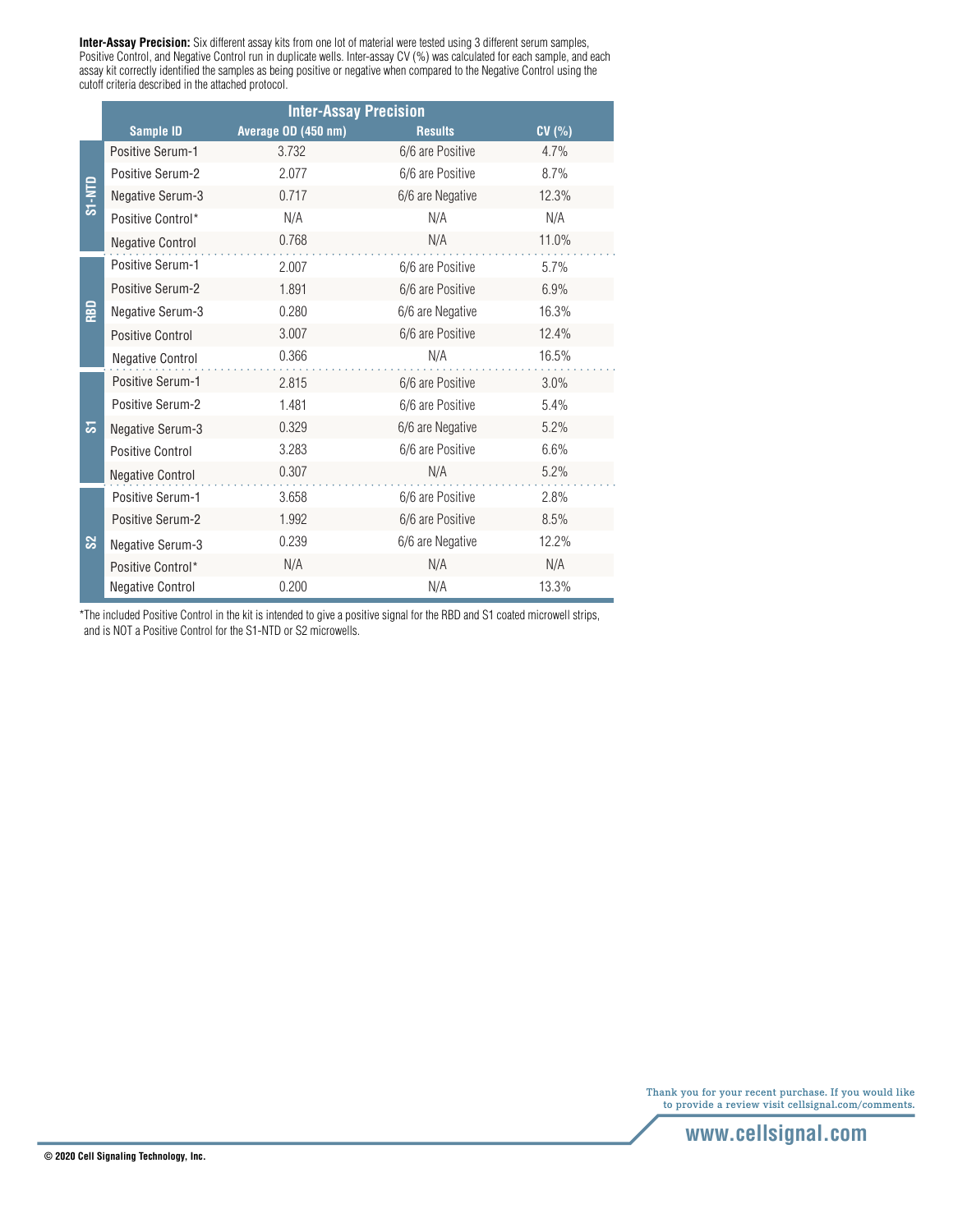**Inter-Assay Precision:** Six different assay kits from one lot of material were tested using 3 different serum samples, Positive Control, and Negative Control run in duplicate wells. Inter-assay CV (%) was calculated for each sample, and each assay kit correctly identified the samples as being positive or negative when compared to the Negative Control using the cutoff criteria described in the attached protocol.

|        | <b>Inter-Assay Precision</b> |                     |                  |       |
|--------|------------------------------|---------------------|------------------|-------|
|        | <b>Sample ID</b>             | Average OD (450 nm) | <b>Results</b>   | CV(%) |
| S1-NTD | Positive Serum-1             | 3.732               | 6/6 are Positive | 4.7%  |
|        | Positive Serum-2             | 2.077               | 6/6 are Positive | 8.7%  |
|        | Negative Serum-3             | 0.717               | 6/6 are Negative | 12.3% |
|        | Positive Control*            | N/A                 | N/A              | N/A   |
|        | <b>Negative Control</b>      | 0.768               | N/A              | 11.0% |
| RBD    | <b>Positive Serum-1</b>      | 2.007               | 6/6 are Positive | 5.7%  |
|        | Positive Serum-2             | 1.891               | 6/6 are Positive | 6.9%  |
|        | Negative Serum-3             | 0.280               | 6/6 are Negative | 16.3% |
|        | Positive Control             | 3.007               | 6/6 are Positive | 12.4% |
|        | <b>Negative Control</b>      | 0.366               | N/A              | 16.5% |
|        | <b>Positive Serum-1</b>      | 2.815               | 6/6 are Positive | 3.0%  |
|        | Positive Serum-2             | 1.481               | 6/6 are Positive | 5.4%  |
| ಹ      | Negative Serum-3             | 0.329               | 6/6 are Negative | 5.2%  |
|        | <b>Positive Control</b>      | 3.283               | 6/6 are Positive | 6.6%  |
|        | <b>Negative Control</b>      | 0.307               | N/A              | 5.2%  |
| ಜ      | Positive Serum-1             | 3.658               | 6/6 are Positive | 2.8%  |
|        | <b>Positive Serum-2</b>      | 1.992               | 6/6 are Positive | 8.5%  |
|        | Negative Serum-3             | 0.239               | 6/6 are Negative | 12.2% |
|        | Positive Control*            | N/A                 | N/A              | N/A   |
|        | <b>Negative Control</b>      | 0.200               | N/A              | 13.3% |

\*The included Positive Control in the kit is intended to give a positive signal for the RBD and S1 coated microwell strips, and is NOT a Positive Control for the S1-NTD or S2 microwells.

> Thank you for your recent purchase. If you would like to provide a review visit cellsignal.com/comments.

> > **www.cellsignal.com**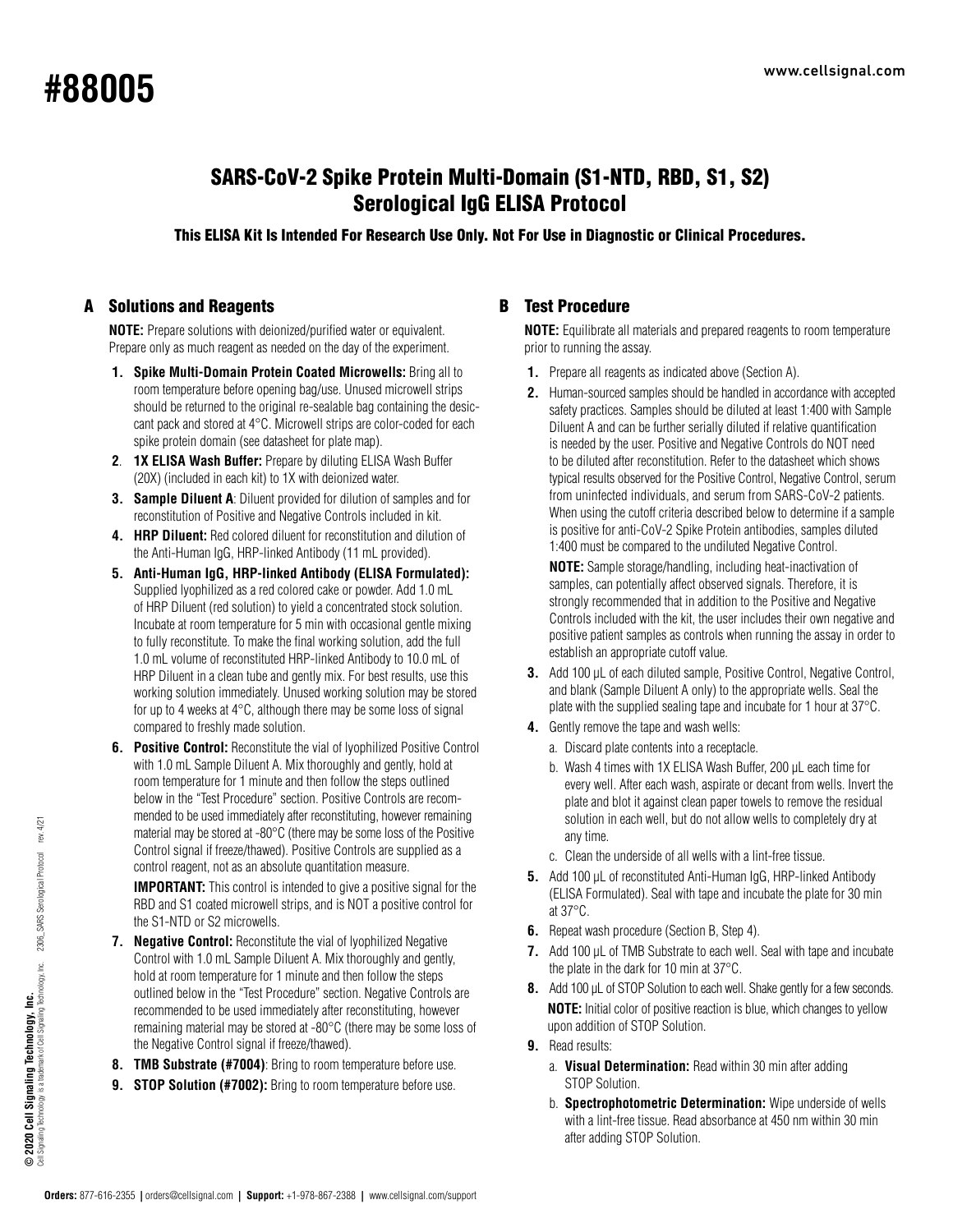# www.cellsignal.com **#88005**

## SARS-CoV-2 Spike Protein Multi-Domain (S1-NTD, RBD, S1, S2) Serological IgG ELISA Protocol

This ELISA Kit Is Intended For Research Use Only. Not For Use in Diagnostic or Clinical Procedures.

## A Solutions and Reagents

**NOTE:** Prepare solutions with deionized/purified water or equivalent. Prepare only as much reagent as needed on the day of the experiment.

- **1. Spike Multi-Domain Protein Coated Microwells:** Bring all to room temperature before opening bag/use. Unused microwell strips should be returned to the original re-sealable bag containing the desiccant pack and stored at 4°C. Microwell strips are color-coded for each spike protein domain (see datasheet for plate map).
- **2**. **1X ELISA Wash Buffer:** Prepare by diluting ELISA Wash Buffer (20X) (included in each kit) to 1X with deionized water.
- **3. Sample Diluent A**: Diluent provided for dilution of samples and for reconstitution of Positive and Negative Controls included in kit.
- **4. HRP Diluent:** Red colored diluent for reconstitution and dilution of the Anti-Human IgG, HRP-linked Antibody (11 mL provided).
- **5. Anti-Human IgG, HRP-linked Antibody (ELISA Formulated):** Supplied lyophilized as a red colored cake or powder. Add 1.0 mL of HRP Diluent (red solution) to yield a concentrated stock solution. Incubate at room temperature for 5 min with occasional gentle mixing to fully reconstitute. To make the final working solution, add the full 1.0 mL volume of reconstituted HRP-linked Antibody to 10.0 mL of HRP Diluent in a clean tube and gently mix. For best results, use this working solution immediately. Unused working solution may be stored for up to 4 weeks at 4°C, although there may be some loss of signal compared to freshly made solution.
- **6. Positive Control:** Reconstitute the vial of Ivophilized Positive Control with 1.0 mL Sample Diluent A. Mix thoroughly and gently, hold at room temperature for 1 minute and then follow the steps outlined below in the "Test Procedure" section. Positive Controls are recommended to be used immediately after reconstituting, however remaining material may be stored at -80°C (there may be some loss of the Positive Control signal if freeze/thawed). Positive Controls are supplied as a control reagent, not as an absolute quantitation measure. **IMPORTANT:** This control is intended to give a positive signal for the

RBD and S1 coated microwell strips, and is NOT a positive control for the S1-NTD or S2 microwells.

- **7. Negative Control:** Reconstitute the vial of lyophilized Negative Control with 1.0 mL Sample Diluent A. Mix thoroughly and gently, hold at room temperature for 1 minute and then follow the steps outlined below in the "Test Procedure" section. Negative Controls are recommended to be used immediately after reconstituting, however remaining material may be stored at -80°C (there may be some loss of the Negative Control signal if freeze/thawed).
- **8. TMB Substrate (#7004)**: Bring to room temperature before use.
- **9. STOP Solution (#7002):** Bring to room temperature before use.

## B Test Procedure

**NOTE:** Equilibrate all materials and prepared reagents to room temperature prior to running the assay.

- **1.** Prepare all reagents as indicated above (Section A).
- **2.** Human-sourced samples should be handled in accordance with accepted safety practices. Samples should be diluted at least 1:400 with Sample Diluent A and can be further serially diluted if relative quantification is needed by the user. Positive and Negative Controls do NOT need to be diluted after reconstitution. Refer to the datasheet which shows typical results observed for the Positive Control, Negative Control, serum from uninfected individuals, and serum from SARS-CoV-2 patients. When using the cutoff criteria described below to determine if a sample is positive for anti-CoV-2 Spike Protein antibodies, samples diluted 1:400 must be compared to the undiluted Negative Control.

 **NOTE:** Sample storage/handling, including heat-inactivation of samples, can potentially affect observed signals. Therefore, it is strongly recommended that in addition to the Positive and Negative Controls included with the kit, the user includes their own negative and positive patient samples as controls when running the assay in order to establish an appropriate cutoff value.

- **3.** Add 100 μL of each diluted sample, Positive Control, Negative Control, and blank (Sample Diluent A only) to the appropriate wells. Seal the plate with the supplied sealing tape and incubate for 1 hour at 37°C.
- **4.** Gently remove the tape and wash wells:
	- a. Discard plate contents into a receptacle.
	- b. Wash 4 times with 1X ELISA Wash Buffer, 200 μL each time for every well. After each wash, aspirate or decant from wells. Invert the plate and blot it against clean paper towels to remove the residual solution in each well, but do not allow wells to completely dry at any time.
	- c. Clean the underside of all wells with a lint-free tissue.
- **5.** Add 100 μL of reconstituted Anti-Human IgG, HRP-linked Antibody (ELISA Formulated). Seal with tape and incubate the plate for 30 min at 37°C.
- **6.** Repeat wash procedure (Section B, Step 4).
- **7.** Add 100 μL of TMB Substrate to each well. Seal with tape and incubate the plate in the dark for 10 min at 37°C.
- **8.** Add 100 μL of STOP Solution to each well. Shake gently for a few seconds.  **NOTE:** Initial color of positive reaction is blue, which changes to yellow upon addition of STOP Solution.
- **9.** Read results:
	- a. **Visual Determination:** Read within 30 min after adding STOP Solution.
	- b. **Spectrophotometric Determination:** Wipe underside of wells with a lint-free tissue. Read absorbance at 450 nm within 30 min after adding STOP Solution.